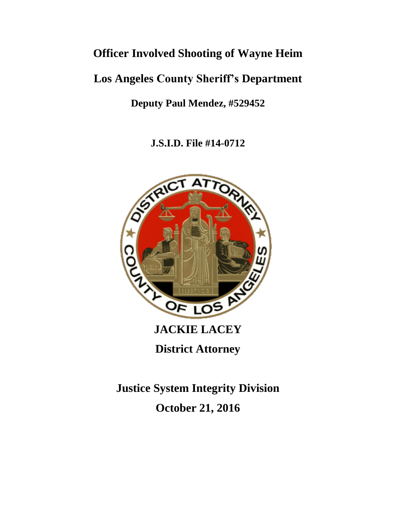# **Officer Involved Shooting of Wayne Heim**

# **Los Angeles County Sheriff's Department**

**Deputy Paul Mendez, #529452**

**J.S.I.D. File #14-0712**



**District Attorney**

**Justice System Integrity Division October 21, 2016**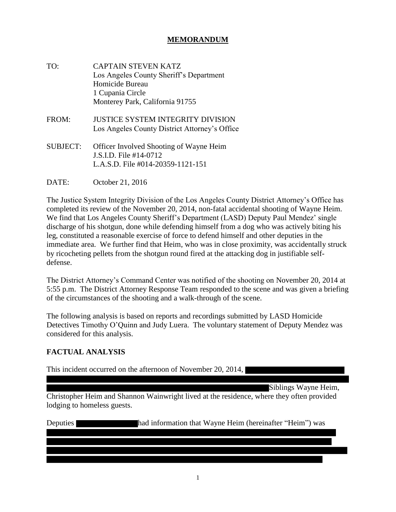### **MEMORANDUM**

- TO: CAPTAIN STEVEN KATZ Los Angeles County Sheriff's Department Homicide Bureau 1 Cupania Circle Monterey Park, California 91755
- FROM: JUSTICE SYSTEM INTEGRITY DIVISION Los Angeles County District Attorney's Office
- SUBJECT: Officer Involved Shooting of Wayne Heim J.S.I.D. File #14-0712 L.A.S.D. File #014-20359-1121-151
- DATE: October 21, 2016

The Justice System Integrity Division of the Los Angeles County District Attorney's Office has completed its review of the November 20, 2014, non-fatal accidental shooting of Wayne Heim. We find that Los Angeles County Sheriff's Department (LASD) Deputy Paul Mendez' single discharge of his shotgun, done while defending himself from a dog who was actively biting his leg, constituted a reasonable exercise of force to defend himself and other deputies in the immediate area. We further find that Heim, who was in close proximity, was accidentally struck by ricocheting pellets from the shotgun round fired at the attacking dog in justifiable selfdefense.

The District Attorney's Command Center was notified of the shooting on November 20, 2014 at 5:55 p.m. The District Attorney Response Team responded to the scene and was given a briefing of the circumstances of the shooting and a walk-through of the scene.

The following analysis is based on reports and recordings submitted by LASD Homicide Detectives Timothy O'Quinn and Judy Luera. The voluntary statement of Deputy Mendez was considered for this analysis.

## **FACTUAL ANALYSIS**

This incident occurred on the afternoon of November 20, 2014,

Siblings Wayne Heim,

Christopher Heim and Shannon Wainwright lived at the residence, where they often provided lodging to homeless guests.

Deputies had information that Wayne Heim (hereinafter "Heim") was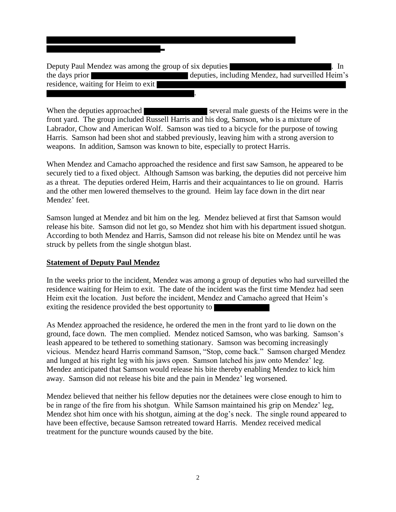Deputy Paul Mendez was among the group of six deputies . In the days prior deputies, including Mendez, had surveilled Heim's residence, waiting for Heim to exit

.

When the deputies approached several male guests of the Heims were in the front yard. The group included Russell Harris and his dog, Samson, who is a mixture of Labrador, Chow and American Wolf. Samson was tied to a bicycle for the purpose of towing Harris. Samson had been shot and stabbed previously, leaving him with a strong aversion to weapons. In addition, Samson was known to bite, especially to protect Harris.

When Mendez and Camacho approached the residence and first saw Samson, he appeared to be securely tied to a fixed object. Although Samson was barking, the deputies did not perceive him as a threat. The deputies ordered Heim, Harris and their acquaintances to lie on ground. Harris and the other men lowered themselves to the ground. Heim lay face down in the dirt near Mendez' feet.

Samson lunged at Mendez and bit him on the leg. Mendez believed at first that Samson would release his bite. Samson did not let go, so Mendez shot him with his department issued shotgun. According to both Mendez and Harris, Samson did not release his bite on Mendez until he was struck by pellets from the single shotgun blast.

### **Statement of Deputy Paul Mendez**

In the weeks prior to the incident, Mendez was among a group of deputies who had surveilled the residence waiting for Heim to exit. The date of the incident was the first time Mendez had seen Heim exit the location. Just before the incident, Mendez and Camacho agreed that Heim's exiting the residence provided the best opportunity to

As Mendez approached the residence, he ordered the men in the front yard to lie down on the ground, face down. The men complied. Mendez noticed Samson, who was barking. Samson's leash appeared to be tethered to something stationary. Samson was becoming increasingly vicious. Mendez heard Harris command Samson, "Stop, come back." Samson charged Mendez and lunged at his right leg with his jaws open. Samson latched his jaw onto Mendez' leg. Mendez anticipated that Samson would release his bite thereby enabling Mendez to kick him away. Samson did not release his bite and the pain in Mendez' leg worsened.

Mendez believed that neither his fellow deputies nor the detainees were close enough to him to be in range of the fire from his shotgun. While Samson maintained his grip on Mendez' leg, Mendez shot him once with his shotgun, aiming at the dog's neck. The single round appeared to have been effective, because Samson retreated toward Harris. Mendez received medical treatment for the puncture wounds caused by the bite.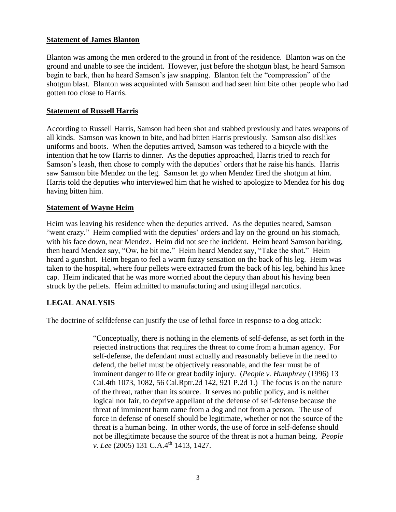### **Statement of James Blanton**

Blanton was among the men ordered to the ground in front of the residence. Blanton was on the ground and unable to see the incident. However, just before the shotgun blast, he heard Samson begin to bark, then he heard Samson's jaw snapping. Blanton felt the "compression" of the shotgun blast. Blanton was acquainted with Samson and had seen him bite other people who had gotten too close to Harris.

#### **Statement of Russell Harris**

According to Russell Harris, Samson had been shot and stabbed previously and hates weapons of all kinds. Samson was known to bite, and had bitten Harris previously. Samson also dislikes uniforms and boots. When the deputies arrived, Samson was tethered to a bicycle with the intention that he tow Harris to dinner. As the deputies approached, Harris tried to reach for Samson's leash, then chose to comply with the deputies' orders that he raise his hands. Harris saw Samson bite Mendez on the leg. Samson let go when Mendez fired the shotgun at him. Harris told the deputies who interviewed him that he wished to apologize to Mendez for his dog having bitten him.

#### **Statement of Wayne Heim**

Heim was leaving his residence when the deputies arrived. As the deputies neared, Samson "went crazy." Heim complied with the deputies' orders and lay on the ground on his stomach, with his face down, near Mendez. Heim did not see the incident. Heim heard Samson barking, then heard Mendez say, "Ow, he bit me." Heim heard Mendez say, "Take the shot." Heim heard a gunshot. Heim began to feel a warm fuzzy sensation on the back of his leg. Heim was taken to the hospital, where four pellets were extracted from the back of his leg, behind his knee cap. Heim indicated that he was more worried about the deputy than about his having been struck by the pellets. Heim admitted to manufacturing and using illegal narcotics.

### **LEGAL ANALYSIS**

The doctrine of selfdefense can justify the use of lethal force in response to a dog attack:

"Conceptually, there is nothing in the elements of self-defense, as set forth in the rejected instructions that requires the threat to come from a human agency. For self-defense, the defendant must actually and reasonably believe in the need to defend, the belief must be objectively reasonable, and the fear must be of imminent danger to life or great bodily injury. (*People v. Humphrey* (1996) 13 Cal.4th 1073, 1082, 56 Cal.Rptr.2d 142, 921 P.2d 1.) The focus is on the nature of the threat, rather than its source. It serves no public policy, and is neither logical nor fair, to deprive appellant of the defense of self-defense because the threat of imminent harm came from a dog and not from a person. The use of force in defense of oneself should be legitimate, whether or not the source of the threat is a human being. In other words, the use of force in self-defense should not be illegitimate because the source of the threat is not a human being. *People v. Lee* (2005) 131 C.A.4<sup>th</sup> 1413, 1427.